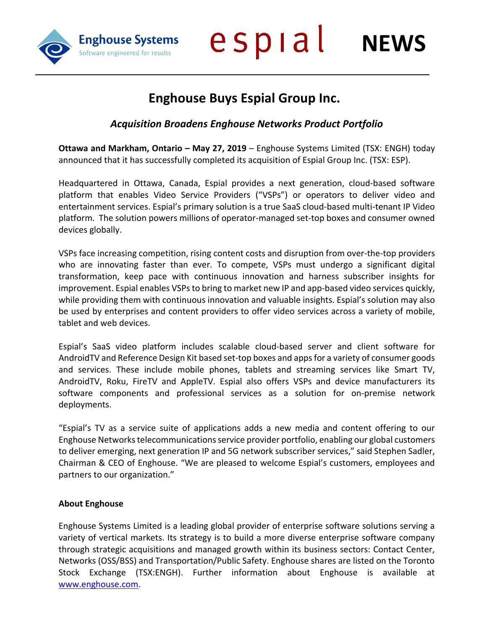**Enghouse Systems** Software engineered for results

espial **NEWS**

## **Enghouse Buys Espial Group Inc.**

## *Acquisition Broadens Enghouse Networks Product Portfolio*

**Ottawa and Markham, Ontario – May 27, 2019** – Enghouse Systems Limited (TSX: ENGH) today announced that it has successfully completed its acquisition of Espial Group Inc. (TSX: ESP).

Headquartered in Ottawa, Canada, Espial provides a next generation, cloud-based software platform that enables Video Service Providers ("VSPs") or operators to deliver video and entertainment services. Espial's primary solution is a true SaaS cloud-based multi-tenant IP Video platform. The solution powers millions of operator-managed set-top boxes and consumer owned devices globally.

VSPs face increasing competition, rising content costs and disruption from over-the-top providers who are innovating faster than ever. To compete, VSPs must undergo a significant digital transformation, keep pace with continuous innovation and harness subscriber insights for improvement. Espial enables VSPs to bring to market new IP and app-based video services quickly, while providing them with continuous innovation and valuable insights. Espial's solution may also be used by enterprises and content providers to offer video services across a variety of mobile, tablet and web devices.

Espial's SaaS video platform includes scalable cloud-based server and client software for AndroidTV and Reference Design Kit based set-top boxes and apps for a variety of consumer goods and services. These include mobile phones, tablets and streaming services like Smart TV, AndroidTV, Roku, FireTV and AppleTV. Espial also offers VSPs and device manufacturers its software components and professional services as a solution for on-premise network deployments.

"Espial's TV as a service suite of applications adds a new media and content offering to our Enghouse Networks telecommunications service provider portfolio, enabling our global customers to deliver emerging, next generation IP and 5G network subscriber services," said Stephen Sadler, Chairman & CEO of Enghouse. "We are pleased to welcome Espial's customers, employees and partners to our organization."

## **About Enghouse**

Enghouse Systems Limited is a leading global provider of enterprise software solutions serving a variety of vertical markets. Its strategy is to build a more diverse enterprise software company through strategic acquisitions and managed growth within its business sectors: Contact Center, Networks (OSS/BSS) and Transportation/Public Safety. Enghouse shares are listed on the Toronto Stock Exchange [\(TSX:ENGH\).](http://(TSX:ENGH)) Further information about Enghouse is available at [www.enghouse.com.](http://www.enghouse.com/)